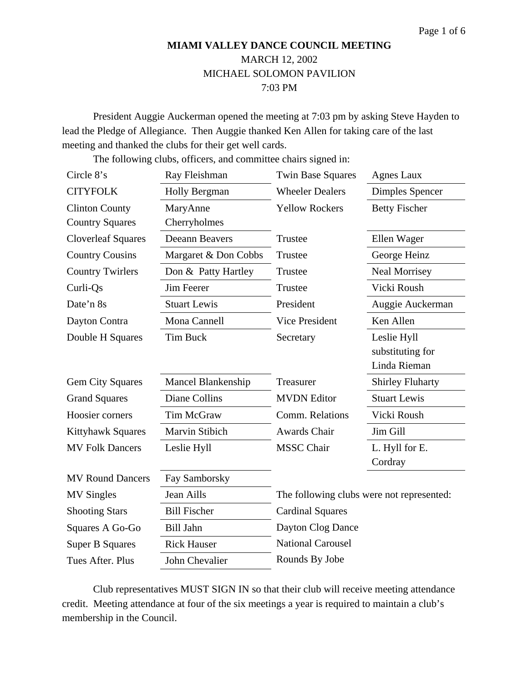# **MIAMI VALLEY DANCE COUNCIL MEETING**  MARCH 12, 2002 MICHAEL SOLOMON PAVILION 7:03 PM

President Auggie Auckerman opened the meeting at 7:03 pm by asking Steve Hayden to lead the Pledge of Allegiance. Then Auggie thanked Ken Allen for taking care of the last meeting and thanked the clubs for their get well cards.

The following clubs, officers, and committee chairs signed in:

| Circle 8's                | Ray Fleishman             | <b>Twin Base Squares</b>                  | Agnes Laux              |
|---------------------------|---------------------------|-------------------------------------------|-------------------------|
| <b>CITYFOLK</b>           | <b>Holly Bergman</b>      | <b>Wheeler Dealers</b>                    | Dimples Spencer         |
| <b>Clinton County</b>     | MaryAnne                  | <b>Yellow Rockers</b>                     | <b>Betty Fischer</b>    |
| <b>Country Squares</b>    | Cherryholmes              |                                           |                         |
| <b>Cloverleaf Squares</b> | <b>Deeann Beavers</b>     | Trustee                                   | Ellen Wager             |
| <b>Country Cousins</b>    | Margaret & Don Cobbs      | Trustee                                   | George Heinz            |
| <b>Country Twirlers</b>   | Don & Patty Hartley       | Trustee                                   | <b>Neal Morrisey</b>    |
| Curli-Qs                  | <b>Jim Feerer</b>         | Trustee                                   | Vicki Roush             |
| Date'n 8s                 | <b>Stuart Lewis</b>       | President                                 | Auggie Auckerman        |
| Dayton Contra             | Mona Cannell              | <b>Vice President</b>                     | Ken Allen               |
| Double H Squares          | <b>Tim Buck</b>           | Secretary                                 | Leslie Hyll             |
|                           |                           |                                           | substituting for        |
|                           |                           |                                           | Linda Rieman            |
| <b>Gem City Squares</b>   | <b>Mancel Blankenship</b> | Treasurer                                 | <b>Shirley Fluharty</b> |
| <b>Grand Squares</b>      | Diane Collins             | <b>MVDN</b> Editor                        | <b>Stuart Lewis</b>     |
| Hoosier corners           | Tim McGraw                | Comm. Relations                           | Vicki Roush             |
| <b>Kittyhawk Squares</b>  | Marvin Stibich            | <b>Awards Chair</b>                       | Jim Gill                |
| <b>MV Folk Dancers</b>    | Leslie Hyll               | <b>MSSC</b> Chair                         | L. Hyll for E.          |
|                           |                           |                                           | Cordray                 |
| <b>MV Round Dancers</b>   | Fay Samborsky             |                                           |                         |
| <b>MV Singles</b>         | Jean Aills                | The following clubs were not represented: |                         |
| <b>Shooting Stars</b>     | <b>Bill Fischer</b>       | <b>Cardinal Squares</b>                   |                         |
| Squares A Go-Go           | <b>Bill Jahn</b>          | Dayton Clog Dance                         |                         |
| <b>Super B Squares</b>    | <b>Rick Hauser</b>        | <b>National Carousel</b>                  |                         |
| Tues After. Plus          | <b>John Chevalier</b>     | Rounds By Jobe                            |                         |

Club representatives MUST SIGN IN so that their club will receive meeting attendance credit. Meeting attendance at four of the six meetings a year is required to maintain a club's membership in the Council.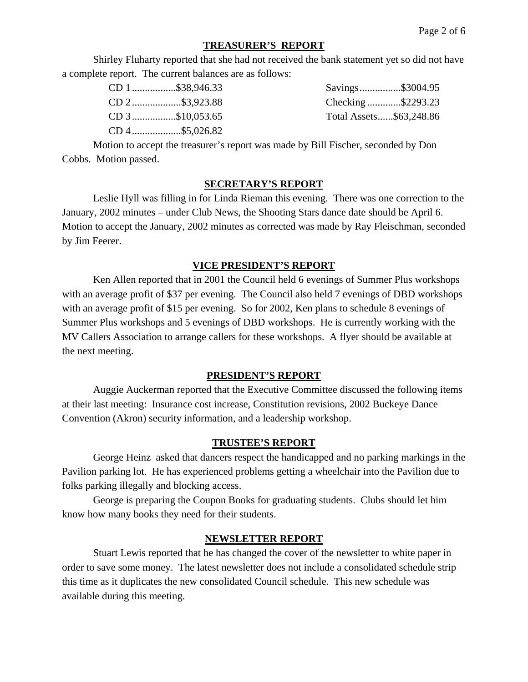## **TREASURER'S REPORT**

Shirley Fluharty reported that she had not received the bank statement yet so did not have a complete report. The current balances are as follows:

| CD 1\$38,946.33 | Savings\$3004.95        |
|-----------------|-------------------------|
| CD 2\$3,923.88  | Checking \$2293.23      |
| CD 3\$10,053.65 | Total Assets\$63,248.86 |
| CD 4\$5,026.82  |                         |

Motion to accept the treasurer's report was made by Bill Fischer, seconded by Don Cobbs. Motion passed.

## **SECRETARY'S REPORT**

Leslie Hyll was filling in for Linda Rieman this evening. There was one correction to the January, 2002 minutes – under Club News, the Shooting Stars dance date should be April 6. Motion to accept the January, 2002 minutes as corrected was made by Ray Fleischman, seconded by Jim Feerer.

### **VICE PRESIDENT'S REPORT**

Ken Allen reported that in 2001 the Council held 6 evenings of Summer Plus workshops with an average profit of \$37 per evening. The Council also held 7 evenings of DBD workshops with an average profit of \$15 per evening. So for 2002, Ken plans to schedule 8 evenings of Summer Plus workshops and 5 evenings of DBD workshops. He is currently working with the MV Callers Association to arrange callers for these workshops. A flyer should be available at the next meeting.

#### **PRESIDENT'S REPORT**

Auggie Auckerman reported that the Executive Committee discussed the following items at their last meeting: Insurance cost increase, Constitution revisions, 2002 Buckeye Dance Convention (Akron) security information, and a leadership workshop.

#### **TRUSTEE'S REPORT**

George Heinz asked that dancers respect the handicapped and no parking markings in the Pavilion parking lot. He has experienced problems getting a wheelchair into the Pavilion due to folks parking illegally and blocking access.

George is preparing the Coupon Books for graduating students. Clubs should let him know how many books they need for their students.

#### **NEWSLETTER REPORT**

Stuart Lewis reported that he has changed the cover of the newsletter to white paper in order to save some money. The latest newsletter does not include a consolidated schedule strip this time as it duplicates the new consolidated Council schedule. This new schedule was available during this meeting.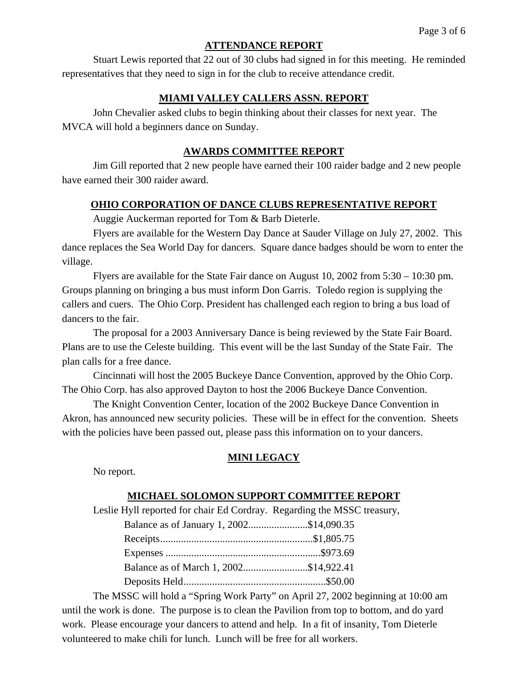#### **ATTENDANCE REPORT**

Stuart Lewis reported that 22 out of 30 clubs had signed in for this meeting. He reminded representatives that they need to sign in for the club to receive attendance credit.

## **MIAMI VALLEY CALLERS ASSN. REPORT**

John Chevalier asked clubs to begin thinking about their classes for next year. The MVCA will hold a beginners dance on Sunday.

## **AWARDS COMMITTEE REPORT**

Jim Gill reported that 2 new people have earned their 100 raider badge and 2 new people have earned their 300 raider award.

### **OHIO CORPORATION OF DANCE CLUBS REPRESENTATIVE REPORT**

Auggie Auckerman reported for Tom & Barb Dieterle.

Flyers are available for the Western Day Dance at Sauder Village on July 27, 2002. This dance replaces the Sea World Day for dancers. Square dance badges should be worn to enter the village.

Flyers are available for the State Fair dance on August 10, 2002 from 5:30 – 10:30 pm. Groups planning on bringing a bus must inform Don Garris. Toledo region is supplying the callers and cuers. The Ohio Corp. President has challenged each region to bring a bus load of dancers to the fair.

The proposal for a 2003 Anniversary Dance is being reviewed by the State Fair Board. Plans are to use the Celeste building. This event will be the last Sunday of the State Fair. The plan calls for a free dance.

Cincinnati will host the 2005 Buckeye Dance Convention, approved by the Ohio Corp. The Ohio Corp. has also approved Dayton to host the 2006 Buckeye Dance Convention.

The Knight Convention Center, location of the 2002 Buckeye Dance Convention in Akron, has announced new security policies. These will be in effect for the convention. Sheets with the policies have been passed out, please pass this information on to your dancers.

#### **MINI LEGACY**

No report.

#### **MICHAEL SOLOMON SUPPORT COMMITTEE REPORT**

Leslie Hyll reported for chair Ed Cordray. Regarding the MSSC treasury,

| Balance as of January 1, 2002\$14,090.35 |  |
|------------------------------------------|--|
|                                          |  |
|                                          |  |
| Balance as of March 1, 2002\$14,922.41   |  |
|                                          |  |

The MSSC will hold a "Spring Work Party" on April 27, 2002 beginning at 10:00 am until the work is done. The purpose is to clean the Pavilion from top to bottom, and do yard work. Please encourage your dancers to attend and help. In a fit of insanity, Tom Dieterle volunteered to make chili for lunch. Lunch will be free for all workers.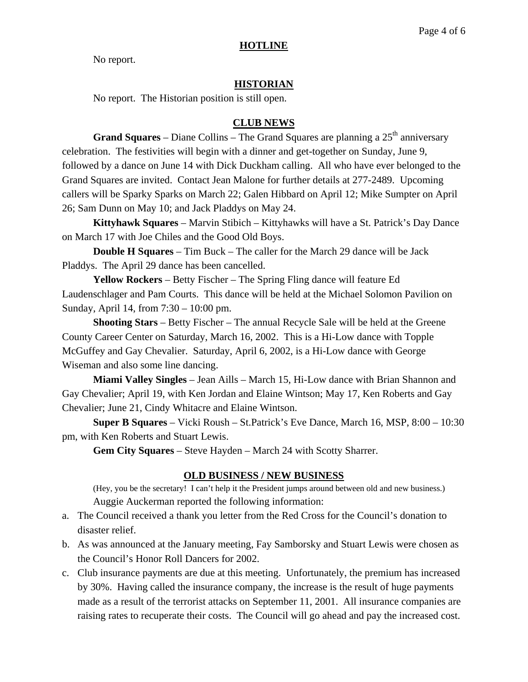No report.

## **HISTORIAN**

No report. The Historian position is still open.

## **CLUB NEWS**

**Grand Squares** – Diane Collins – The Grand Squares are planning a 25<sup>th</sup> anniversary celebration. The festivities will begin with a dinner and get-together on Sunday, June 9, followed by a dance on June 14 with Dick Duckham calling. All who have ever belonged to the Grand Squares are invited. Contact Jean Malone for further details at 277-2489. Upcoming callers will be Sparky Sparks on March 22; Galen Hibbard on April 12; Mike Sumpter on April 26; Sam Dunn on May 10; and Jack Pladdys on May 24.

**Kittyhawk Squares** – Marvin Stibich – Kittyhawks will have a St. Patrick's Day Dance on March 17 with Joe Chiles and the Good Old Boys.

**Double H Squares** – Tim Buck – The caller for the March 29 dance will be Jack Pladdys. The April 29 dance has been cancelled.

**Yellow Rockers** – Betty Fischer – The Spring Fling dance will feature Ed Laudenschlager and Pam Courts. This dance will be held at the Michael Solomon Pavilion on Sunday, April 14, from 7:30 – 10:00 pm.

**Shooting Stars** – Betty Fischer – The annual Recycle Sale will be held at the Greene County Career Center on Saturday, March 16, 2002. This is a Hi-Low dance with Topple McGuffey and Gay Chevalier. Saturday, April 6, 2002, is a Hi-Low dance with George Wiseman and also some line dancing.

**Miami Valley Singles** – Jean Aills – March 15, Hi-Low dance with Brian Shannon and Gay Chevalier; April 19, with Ken Jordan and Elaine Wintson; May 17, Ken Roberts and Gay Chevalier; June 21, Cindy Whitacre and Elaine Wintson.

**Super B Squares** – Vicki Roush – St.Patrick's Eve Dance, March 16, MSP, 8:00 – 10:30 pm, with Ken Roberts and Stuart Lewis.

**Gem City Squares** – Steve Hayden – March 24 with Scotty Sharrer.

## **OLD BUSINESS / NEW BUSINESS**

(Hey, you be the secretary! I can't help it the President jumps around between old and new business.) Auggie Auckerman reported the following information:

- a. The Council received a thank you letter from the Red Cross for the Council's donation to disaster relief.
- b. As was announced at the January meeting, Fay Samborsky and Stuart Lewis were chosen as the Council's Honor Roll Dancers for 2002.
- c. Club insurance payments are due at this meeting. Unfortunately, the premium has increased by 30%. Having called the insurance company, the increase is the result of huge payments made as a result of the terrorist attacks on September 11, 2001. All insurance companies are raising rates to recuperate their costs. The Council will go ahead and pay the increased cost.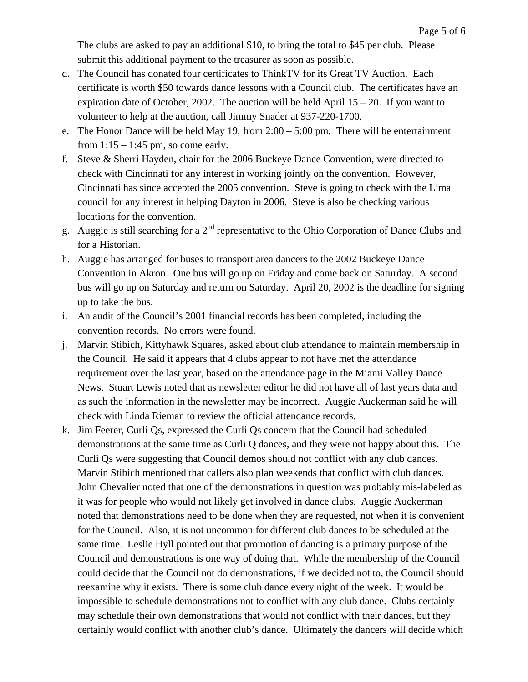The clubs are asked to pay an additional \$10, to bring the total to \$45 per club. Please submit this additional payment to the treasurer as soon as possible.

- d. The Council has donated four certificates to ThinkTV for its Great TV Auction. Each certificate is worth \$50 towards dance lessons with a Council club. The certificates have an expiration date of October, 2002. The auction will be held April  $15 - 20$ . If you want to volunteer to help at the auction, call Jimmy Snader at 937-220-1700.
- e. The Honor Dance will be held May 19, from  $2:00 5:00$  pm. There will be entertainment from  $1:15 - 1:45$  pm, so come early.
- f. Steve & Sherri Hayden, chair for the 2006 Buckeye Dance Convention, were directed to check with Cincinnati for any interest in working jointly on the convention. However, Cincinnati has since accepted the 2005 convention. Steve is going to check with the Lima council for any interest in helping Dayton in 2006. Steve is also be checking various locations for the convention.
- g. Auggie is still searching for a  $2<sup>nd</sup>$  representative to the Ohio Corporation of Dance Clubs and for a Historian.
- h. Auggie has arranged for buses to transport area dancers to the 2002 Buckeye Dance Convention in Akron. One bus will go up on Friday and come back on Saturday. A second bus will go up on Saturday and return on Saturday. April 20, 2002 is the deadline for signing up to take the bus.
- i. An audit of the Council's 2001 financial records has been completed, including the convention records. No errors were found.
- j. Marvin Stibich, Kittyhawk Squares, asked about club attendance to maintain membership in the Council. He said it appears that 4 clubs appear to not have met the attendance requirement over the last year, based on the attendance page in the Miami Valley Dance News. Stuart Lewis noted that as newsletter editor he did not have all of last years data and as such the information in the newsletter may be incorrect. Auggie Auckerman said he will check with Linda Rieman to review the official attendance records.
- k. Jim Feerer, Curli Qs, expressed the Curli Qs concern that the Council had scheduled demonstrations at the same time as Curli Q dances, and they were not happy about this. The Curli Qs were suggesting that Council demos should not conflict with any club dances. Marvin Stibich mentioned that callers also plan weekends that conflict with club dances. John Chevalier noted that one of the demonstrations in question was probably mis-labeled as it was for people who would not likely get involved in dance clubs. Auggie Auckerman noted that demonstrations need to be done when they are requested, not when it is convenient for the Council. Also, it is not uncommon for different club dances to be scheduled at the same time. Leslie Hyll pointed out that promotion of dancing is a primary purpose of the Council and demonstrations is one way of doing that. While the membership of the Council could decide that the Council not do demonstrations, if we decided not to, the Council should reexamine why it exists. There is some club dance every night of the week. It would be impossible to schedule demonstrations not to conflict with any club dance. Clubs certainly may schedule their own demonstrations that would not conflict with their dances, but they certainly would conflict with another club's dance. Ultimately the dancers will decide which